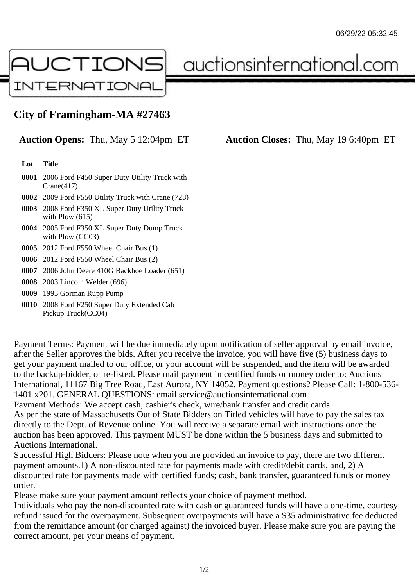

auctionsinternational.com

## **City of Framingham-MA #27463**

**Auction Opens:** Thu, May 5 12:04pm ET **Auction Closes:** Thu, May 19 6:40pm ET

## **Lot Title**

- **0001** 2006 Ford F450 Super Duty Utility Truck with Crane(417)
- **0002** 2009 Ford F550 Utility Truck with Crane (728)
- **0003** 2008 Ford F350 XL Super Duty Utility Truck with Plow (615)
- **0004** 2005 Ford F350 XL Super Duty Dump Truck with Plow (CC03)
- **0005** 2012 Ford F550 Wheel Chair Bus (1)
- **0006** 2012 Ford F550 Wheel Chair Bus (2)
- **0007** 2006 John Deere 410G Backhoe Loader (651)
- **0008** 2003 Lincoln Welder (696)
- **0009** 1993 Gorman Rupp Pump
- **0010** 2008 Ford F250 Super Duty Extended Cab Pickup Truck(CC04)

Payment Terms: Payment will be due immediately upon notification of seller approval by email invoice, after the Seller approves the bids. After you receive the invoice, you will have five (5) business days to get your payment mailed to our office, or your account will be suspended, and the item will be awarded to the backup-bidder, or re-listed. Please mail payment in certified funds or money order to: Auctions International, 11167 Big Tree Road, East Aurora, NY 14052. Payment questions? Please Call: 1-800-536- 1401 x201. GENERAL QUESTIONS: email service@auctionsinternational.com

Payment Methods: We accept cash, cashier's check, wire/bank transfer and credit cards.

As per the state of Massachusetts Out of State Bidders on Titled vehicles will have to pay the sales tax directly to the Dept. of Revenue online. You will receive a separate email with instructions once the auction has been approved. This payment MUST be done within the 5 business days and submitted to Auctions International.

Successful High Bidders: Please note when you are provided an invoice to pay, there are two different payment amounts.1) A non-discounted rate for payments made with credit/debit cards, and, 2) A discounted rate for payments made with certified funds; cash, bank transfer, guaranteed funds or money order.

Please make sure your payment amount reflects your choice of payment method.

Individuals who pay the non-discounted rate with cash or guaranteed funds will have a one-time, courtesy refund issued for the overpayment. Subsequent overpayments will have a \$35 administrative fee deducted from the remittance amount (or charged against) the invoiced buyer. Please make sure you are paying the correct amount, per your means of payment.